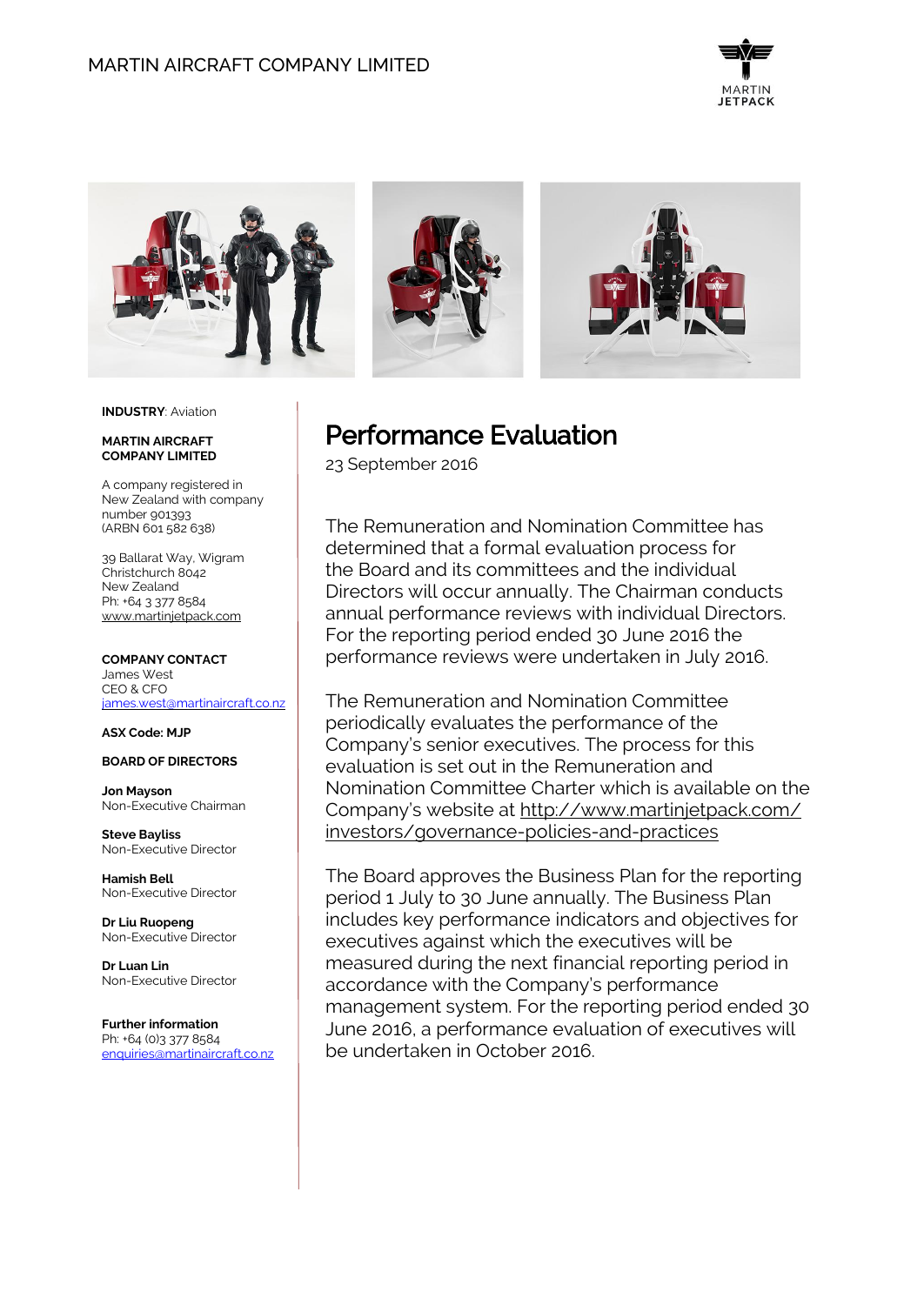



### **INDUSTRY**: Aviation

#### **MARTIN AIRCRAFT COMPANY LIMITED**

A company registered in New Zealand with company number 901393 (ARBN 601 582 638)

39 Ballarat Way, Wigram Christchurch 8042 New Zealand Ph: +64 3 377 8584 [www.martinjetpack.com](http://www.martinjetpack.com/)

#### **COMPANY CONTACT** James West

CEO & CFO [james.west@martinaircraft.co.nz](mailto:james.west@martinaircraft.co.nz)

**ASX Code: MJP**

## **BOARD OF DIRECTORS**

**Jon Mayson**  Non-Executive Chairman

**Steve Bayliss** Non-Executive Director

**Hamish Bell** Non-Executive Director

**Dr Liu Ruopeng**  Non-Executive Director

**Dr Luan Lin** Non-Executive Director

**Further information** Ph: +64 (0)3 377 8584 [enquiries@martinaircraft.co.nz](mailto:enquiries@martinaircraft.co.nz)

# Performance Evaluation

23 September 2016

The Remuneration and Nomination Committee has determined that a formal evaluation process for the Board and its committees and the individual Directors will occur annually. The Chairman conducts annual performance reviews with individual Directors. For the reporting period ended 30 June 2016 the performance reviews were undertaken in July 2016.

The Remuneration and Nomination Committee periodically evaluates the performance of the Company's senior executives. The process for this evaluation is set out in the Remuneration and Nomination Committee Charter which is available on the Company's website at http://www.martinjetpack.com/ investors/governance-policies-and-practices

The Board approves the Business Plan for the reporting period 1 July to 30 June annually. The Business Plan includes key performance indicators and objectives for executives against which the executives will be measured during the next financial reporting period in accordance with the Company's performance management system. For the reporting period ended 30 June 2016, a performance evaluation of executives will be undertaken in October 2016.